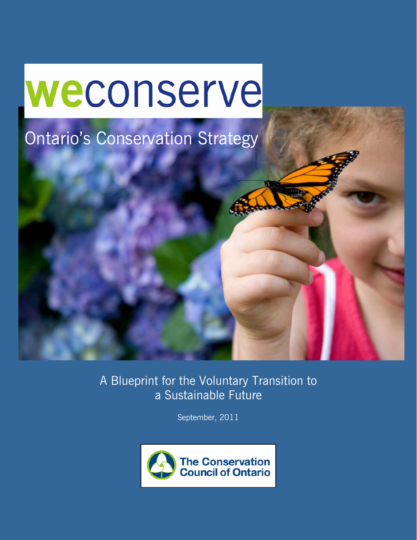# weconserve

# Ontario's Conservation Strategy

A Blueprint for the Voluntary Transition to a Sustainable Future

September, 2011

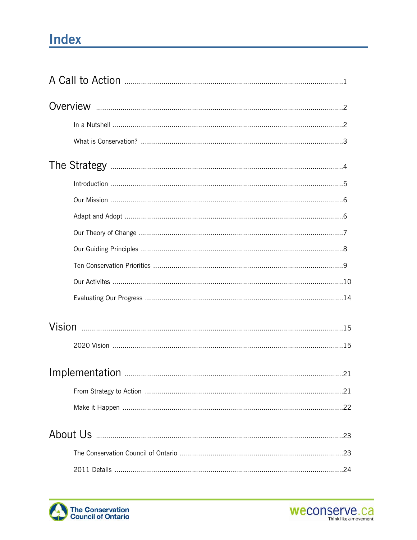### **Index**



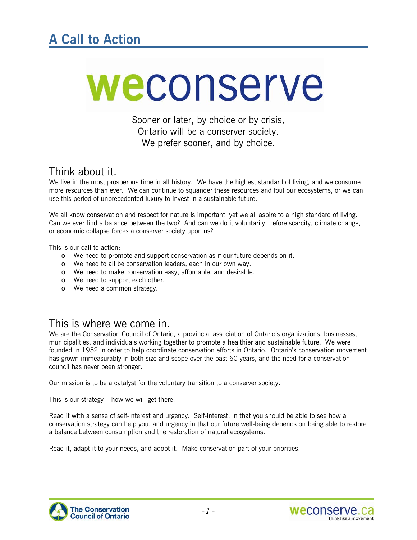# weconserve

Sooner or later, by choice or by crisis, Ontario will be a conserver society. We prefer sooner, and by choice.

### Think about it.

We live in the most prosperous time in all history. We have the highest standard of living, and we consume more resources than ever. We can continue to squander these resources and foul our ecosystems, or we can use this period of unprecedented luxury to invest in a sustainable future.

We all know conservation and respect for nature is important, yet we all aspire to a high standard of living. Can we ever find a balance between the two? And can we do it voluntarily, before scarcity, climate change, or economic collapse forces a conserver society upon us?

This is our call to action:

- o We need to promote and support conservation as if our future depends on it.
- o We need to all be conservation leaders, each in our own way.
- o We need to make conservation easy, affordable, and desirable.
- o We need to support each other.
- o We need a common strategy.

### This is where we come in.

We are the Conservation Council of Ontario, a provincial association of Ontario's organizations, businesses, municipalities, and individuals working together to promote a healthier and sustainable future. We were founded in 1952 in order to help coordinate conservation efforts in Ontario. Ontario's conservation movement has grown immeasurably in both size and scope over the past 60 years, and the need for a conservation council has never been stronger.

Our mission is to be a catalyst for the voluntary transition to a conserver society.

This is our strategy – how we will get there.

Read it with a sense of self-interest and urgency. Self-interest, in that you should be able to see how a conservation strategy can help you, and urgency in that our future well-being depends on being able to restore a balance between consumption and the restoration of natural ecosystems.

Read it, adapt it to your needs, and adopt it. Make conservation part of your priorities.



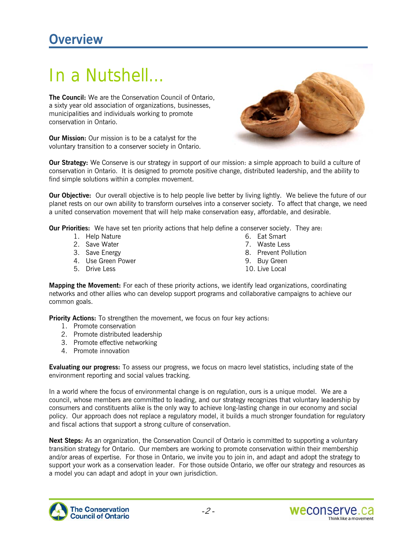## In a Nutshell…

**The Council:** We are the Conservation Council of Ontario, a sixty year old association of organizations, businesses, municipalities and individuals working to promote conservation in Ontario.

**Our Mission:** Our mission is to be a catalyst for the voluntary transition to a conserver society in Ontario.



**Our Strategy:** We Conserve is our strategy in support of our mission: a simple approach to build a culture of conservation in Ontario. It is designed to promote positive change, distributed leadership, and the ability to find simple solutions within a complex movement.

**Our Objective:** Our overall objective is to help people live better by living lightly. We believe the future of our planet rests on our own ability to transform ourselves into a conserver society. To affect that change, we need a united conservation movement that will help make conservation easy, affordable, and desirable.

**Our Priorities:** We have set ten priority actions that help define a conserver society. They are:

- 1. Help Nature
- 2. Save Water
- 3. Save Energy
- 4. Use Green Power
- 5. Drive Less
- 6. Eat Smart
- 7. Waste Less
- 8. Prevent Pollution
- 9. Buy Green
- 10. Live Local

**Mapping the Movement:** For each of these priority actions, we identify lead organizations, coordinating networks and other allies who can develop support programs and collaborative campaigns to achieve our common goals.

**Priority Actions:** To strengthen the movement, we focus on four key actions:

- 1. Promote conservation
- 2. Promote distributed leadership
- 3. Promote effective networking
- 4. Promote innovation

**Evaluating our progress:** To assess our progress, we focus on macro level statistics, including state of the environment reporting and social values tracking.

In a world where the focus of environmental change is on regulation, ours is a unique model. We are a council, whose members are committed to leading, and our strategy recognizes that voluntary leadership by consumers and constituents alike is the only way to achieve long-lasting change in our economy and social policy. Our approach does not replace a regulatory model, it builds a much stronger foundation for regulatory and fiscal actions that support a strong culture of conservation.

**Next Steps:** As an organization, the Conservation Council of Ontario is committed to supporting a voluntary transition strategy for Ontario. Our members are working to promote conservation within their membership and/or areas of expertise. For those in Ontario, we invite you to join in, and adapt and adopt the strategy to support your work as a conservation leader. For those outside Ontario, we offer our strategy and resources as a model you can adapt and adopt in your own jurisdiction.



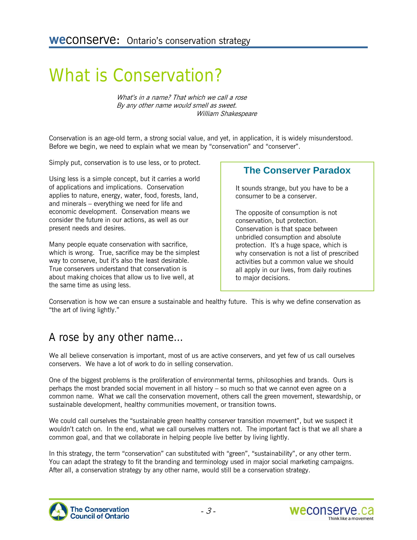## What is Conservation?

What's in a name? That which we call a rose By any other name would smell as sweet. William Shakespeare

Conservation is an age-old term, a strong social value, and yet, in application, it is widely misunderstood. Before we begin, we need to explain what we mean by "conservation" and "conserver".

Simply put, conservation is to use less, or to protect.

Using less is a simple concept, but it carries a world of applications and implications. Conservation applies to nature, energy, water, food, forests, land, and minerals – everything we need for life and economic development. Conservation means we consider the future in our actions, as well as our present needs and desires.

Many people equate conservation with sacrifice, which is wrong. True, sacrifice may be the simplest way to conserve, but it's also the least desirable. True conservers understand that conservation is about making choices that allow us to live well, at the same time as using less.

#### **The Conserver Paradox**

It sounds strange, but you have to be a consumer to be a conserver.

The opposite of consumption is not conservation, but protection. Conservation is that space between unbridled consumption and absolute protection. It's a huge space, which is why conservation is not a list of prescribed activities but a common value we should all apply in our lives, from daily routines to major decisions.

Conservation is how we can ensure a sustainable and healthy future. This is why we define conservation as "the art of living lightly."

### A rose by any other name…

We all believe conservation is important, most of us are active conservers, and yet few of us call ourselves conservers. We have a lot of work to do in selling conservation.

One of the biggest problems is the proliferation of environmental terms, philosophies and brands. Ours is perhaps the most branded social movement in all history – so much so that we cannot even agree on a common name. What we call the conservation movement, others call the green movement, stewardship, or sustainable development, healthy communities movement, or transition towns.

We could call ourselves the "sustainable green healthy conserver transition movement", but we suspect it wouldn't catch on. In the end, what we call ourselves matters not. The important fact is that we all share a common goal, and that we collaborate in helping people live better by living lightly.

In this strategy, the term "conservation" can substituted with "green", "sustainability", or any other term. You can adapt the strategy to fit the branding and terminology used in major social marketing campaigns. After all, a conservation strategy by any other name, would still be a conservation strategy.



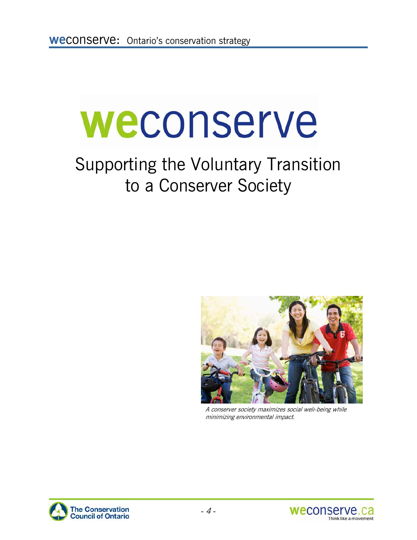# weconserve

# Supporting the Voluntary Transition to a Conserver Society



A conserver society maximizes social well-being while minimizing environmental impact.



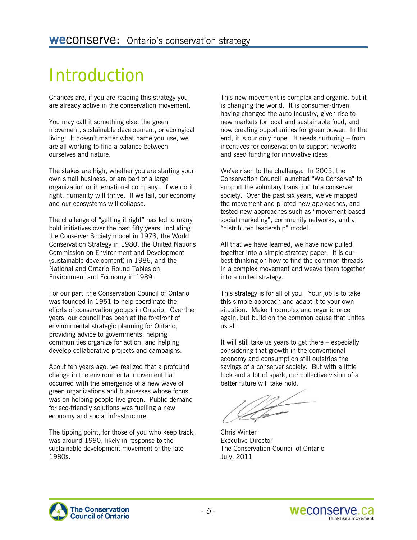# Introduction

Chances are, if you are reading this strategy you are already active in the conservation movement.

You may call it something else: the green movement, sustainable development, or ecological living. It doesn't matter what name you use, we are all working to find a balance between ourselves and nature.

The stakes are high, whether you are starting your own small business, or are part of a large organization or international company. If we do it right, humanity will thrive. If we fail, our economy and our ecosystems will collapse.

The challenge of "getting it right" has led to many bold initiatives over the past fifty years, including the Conserver Society model in 1973, the World Conservation Strategy in 1980, the United Nations Commission on Environment and Development (sustainable development) in 1986, and the National and Ontario Round Tables on Environment and Economy in 1989.

For our part, the Conservation Council of Ontario was founded in 1951 to help coordinate the efforts of conservation groups in Ontario. Over the years, our council has been at the forefront of environmental strategic planning for Ontario, providing advice to governments, helping communities organize for action, and helping develop collaborative projects and campaigns.

About ten years ago, we realized that a profound change in the environmental movement had occurred with the emergence of a new wave of green organizations and businesses whose focus was on helping people live green. Public demand for eco-friendly solutions was fuelling a new economy and social infrastructure.

The tipping point, for those of you who keep track, was around 1990, likely in response to the sustainable development movement of the late 1980s.

This new movement is complex and organic, but it is changing the world. It is consumer-driven, having changed the auto industry, given rise to new markets for local and sustainable food, and now creating opportunities for green power. In the end, it is our only hope. It needs nurturing – from incentives for conservation to support networks and seed funding for innovative ideas.

We've risen to the challenge. In 2005, the Conservation Council launched "We Conserve" to support the voluntary transition to a conserver society. Over the past six years, we've mapped the movement and piloted new approaches, and tested new approaches such as "movement-based social marketing", community networks, and a "distributed leadership" model.

All that we have learned, we have now pulled together into a simple strategy paper. It is our best thinking on how to find the common threads in a complex movement and weave them together into a united strategy.

This strategy is for all of you. Your job is to take this simple approach and adapt it to your own situation. Make it complex and organic once again, but build on the common cause that unites us all.

It will still take us years to get there – especially considering that growth in the conventional economy and consumption still outstrips the savings of a conserver society. But with a little luck and a lot of spark, our collective vision of a better future will take hold.

Chris Winter Executive Director The Conservation Council of Ontario July, 2011

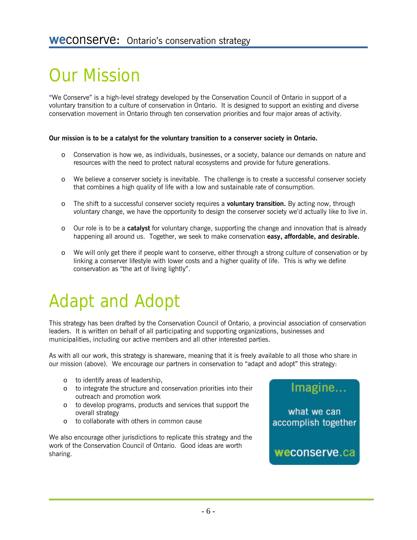# Our Mission

"We Conserve" is a high-level strategy developed by the Conservation Council of Ontario in support of a voluntary transition to a culture of conservation in Ontario. It is designed to support an existing and diverse conservation movement in Ontario through ten conservation priorities and four major areas of activity.

#### **Our mission is to be a catalyst for the voluntary transition to a conserver society in Ontario.**

- o Conservation is how we, as individuals, businesses, or a society, balance our demands on nature and resources with the need to protect natural ecosystems and provide for future generations.
- o We believe a conserver society is inevitable. The challenge is to create a successful conserver society that combines a high quality of life with a low and sustainable rate of consumption.
- o The shift to a successful conserver society requires a **voluntary transition.** By acting now, through voluntary change, we have the opportunity to design the conserver society we'd actually like to live in.
- o Our role is to be a **catalyst** for voluntary change, supporting the change and innovation that is already happening all around us. Together, we seek to make conservation **easy, affordable, and desirable.**
- o We will only get there if people want to conserve, either through a strong culture of conservation or by linking a conserver lifestyle with lower costs and a higher quality of life. This is why we define conservation as "the art of living lightly".

# Adapt and Adopt

This strategy has been drafted by the Conservation Council of Ontario, a provincial association of conservation leaders. It is written on behalf of all participating and supporting organizations, businesses and municipalities, including our active members and all other interested parties.

As with all our work, this strategy is shareware, meaning that it is freely available to all those who share in our mission (above). We encourage our partners in conservation to "adapt and adopt" this strategy:

- o to identify areas of leadership,
- o to integrate the structure and conservation priorities into their outreach and promotion work
- o to develop programs, products and services that support the overall strategy
- o to collaborate with others in common cause

We also encourage other jurisdictions to replicate this strategy and the work of the Conservation Council of Ontario. Good ideas are worth sharing.



what we can accomplish together

weconserve.ca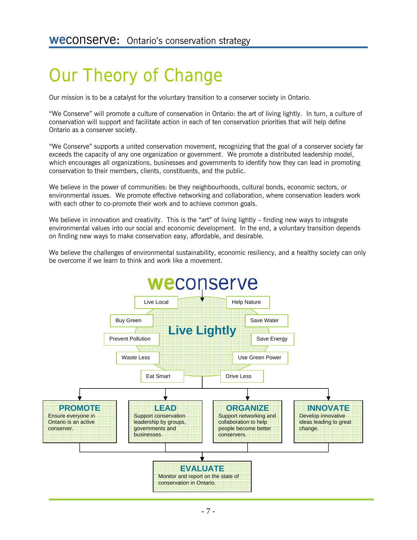# Our Theory of Change

Our mission is to be a catalyst for the voluntary transition to a conserver society in Ontario.

"We Conserve" will promote a culture of conservation in Ontario: the art of living lightly. In turn, a culture of conservation will support and facilitate action in each of ten conservation priorities that will help define Ontario as a conserver society.

"We Conserve" supports a united conservation movement, recognizing that the goal of a conserver society far exceeds the capacity of any one organization or government. We promote a distributed leadership model, which encourages all organizations, businesses and governments to identify how they can lead in promoting conservation to their members, clients, constituents, and the public.

We believe in the power of communities: be they neighbourhoods, cultural bonds, economic sectors, or environmental issues. We promote effective networking and collaboration, where conservation leaders work with each other to co-promote their work and to achieve common goals.

We believe in innovation and creativity. This is the "art" of living lightly – finding new ways to integrate environmental values into our social and economic development. In the end, a voluntary transition depends on finding new ways to make conservation easy, affordable, and desirable.

We believe the challenges of environmental sustainability, economic resiliency, and a healthy society can only be overcome if we learn to think and work like a movement.

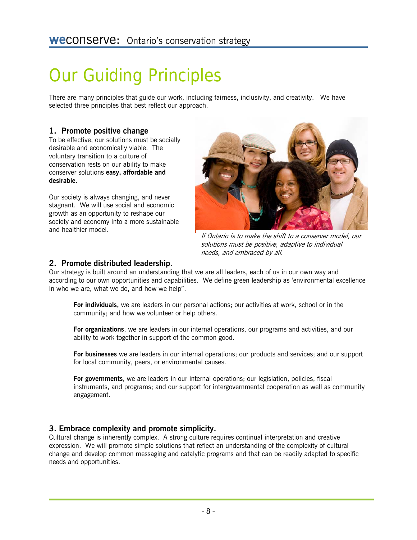# Our Guiding Principles

There are many principles that guide our work, including fairness, inclusivity, and creativity. We have selected three principles that best reflect our approach.

#### **1. Promote positive change**

To be effective, our solutions must be socially desirable and economically viable. The voluntary transition to a culture of conservation rests on our ability to make conserver solutions **easy, affordable and desirable**.

Our society is always changing, and never stagnant. We will use social and economic growth as an opportunity to reshape our society and economy into a more sustainable and healthier model.



If Ontario is to make the shift to a conserver model, our solutions must be positive, adaptive to individual needs, and embraced by all.

#### **2. Promote distributed leadership**.

Our strategy is built around an understanding that we are all leaders, each of us in our own way and according to our own opportunities and capabilities. We define green leadership as 'environmental excellence in who we are, what we do, and how we help".

**For individuals,** we are leaders in our personal actions; our activities at work, school or in the community; and how we volunteer or help others.

**For organizations**, we are leaders in our internal operations, our programs and activities, and our ability to work together in support of the common good.

**For businesses** we are leaders in our internal operations; our products and services; and our support for local community, peers, or environmental causes.

**For governments**, we are leaders in our internal operations; our legislation, policies, fiscal instruments, and programs; and our support for intergovernmental cooperation as well as community engagement.

#### **3. Embrace complexity and promote simplicity.**

Cultural change is inherently complex. A strong culture requires continual interpretation and creative expression. We will promote simple solutions that reflect an understanding of the complexity of cultural change and develop common messaging and catalytic programs and that can be readily adapted to specific needs and opportunities.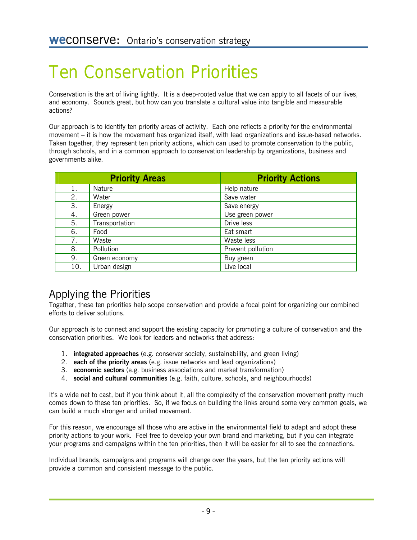# Ten Conservation Priorities

Conservation is the art of living lightly. It is a deep-rooted value that we can apply to all facets of our lives, and economy. Sounds great, but how can you translate a cultural value into tangible and measurable actions?

Our approach is to identify ten priority areas of activity. Each one reflects a priority for the environmental movement – it is how the movement has organized itself, with lead organizations and issue-based networks. Taken together, they represent ten priority actions, which can used to promote conservation to the public, through schools, and in a common approach to conservation leadership by organizations, business and governments alike.

|     | <b>Priority Areas</b> | <b>Priority Actions</b> |
|-----|-----------------------|-------------------------|
| 1.  | Nature                | Help nature             |
| 2.  | Water                 | Save water              |
| 3.  | Energy                | Save energy             |
| 4.  | Green power           | Use green power         |
| 5.  | Transportation        | Drive less              |
| 6.  | Food                  | Eat smart               |
| 7.  | Waste                 | Waste less              |
| 8.  | Pollution             | Prevent pollution       |
| 9.  | Green economy         | Buy green               |
| 10. | Urban design          | Live local              |

### Applying the Priorities

Together, these ten priorities help scope conservation and provide a focal point for organizing our combined efforts to deliver solutions.

Our approach is to connect and support the existing capacity for promoting a culture of conservation and the conservation priorities. We look for leaders and networks that address:

- 1. **integrated approaches** (e.g. conserver society, sustainability, and green living)
- 2. **each of the priority areas** (e.g. issue networks and lead organizations)
- 3. **economic sectors** (e.g. business associations and market transformation)
- 4. **social and cultural communities** (e.g. faith, culture, schools, and neighbourhoods)

It's a wide net to cast, but if you think about it, all the complexity of the conservation movement pretty much comes down to these ten priorities. So, if we focus on building the links around some very common goals, we can build a much stronger and united movement.

For this reason, we encourage all those who are active in the environmental field to adapt and adopt these priority actions to your work. Feel free to develop your own brand and marketing, but if you can integrate your programs and campaigns within the ten priorities, then it will be easier for all to see the connections.

Individual brands, campaigns and programs will change over the years, but the ten priority actions will provide a common and consistent message to the public.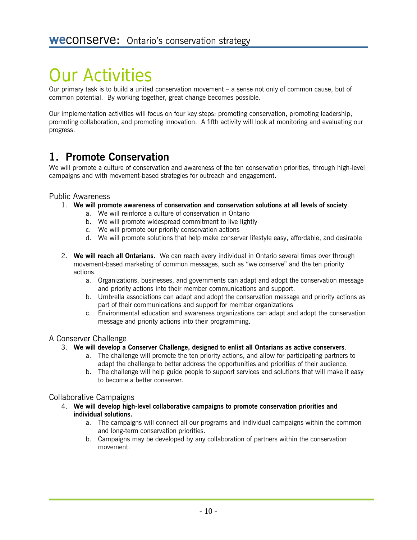# Our Activities

Our primary task is to build a united conservation movement – a sense not only of common cause, but of common potential. By working together, great change becomes possible.

Our implementation activities will focus on four key steps: promoting conservation, promoting leadership, promoting collaboration, and promoting innovation. A fifth activity will look at monitoring and evaluating our progress.

### **1. Promote Conservation**

We will promote a culture of conservation and awareness of the ten conservation priorities, through high-level campaigns and with movement-based strategies for outreach and engagement.

#### Public Awareness

- 1. **We will promote awareness of conservation and conservation solutions at all levels of society**.
	- a. We will reinforce a culture of conservation in Ontario
	- b. We will promote widespread commitment to live lightly
	- c. We will promote our priority conservation actions
	- d. We will promote solutions that help make conserver lifestyle easy, affordable, and desirable
- 2. **We will reach all Ontarians.** We can reach every individual in Ontario several times over through movement-based marketing of common messages, such as "we conserve" and the ten priority actions.
	- a. Organizations, businesses, and governments can adapt and adopt the conservation message and priority actions into their member communications and support.
	- b. Umbrella associations can adapt and adopt the conservation message and priority actions as part of their communications and support for member organizations
	- c. Environmental education and awareness organizations can adapt and adopt the conservation message and priority actions into their programming.

#### A Conserver Challenge

#### 3. **We will develop a Conserver Challenge, designed to enlist all Ontarians as active conservers**.

- a. The challenge will promote the ten priority actions, and allow for participating partners to adapt the challenge to better address the opportunities and priorities of their audience.
- b. The challenge will help guide people to support services and solutions that will make it easy to become a better conserver.

#### Collaborative Campaigns

- 4. **We will develop high-level collaborative campaigns to promote conservation priorities and individual solutions.**
	- a. The campaigns will connect all our programs and individual campaigns within the common and long-term conservation priorities.
	- b. Campaigns may be developed by any collaboration of partners within the conservation movement.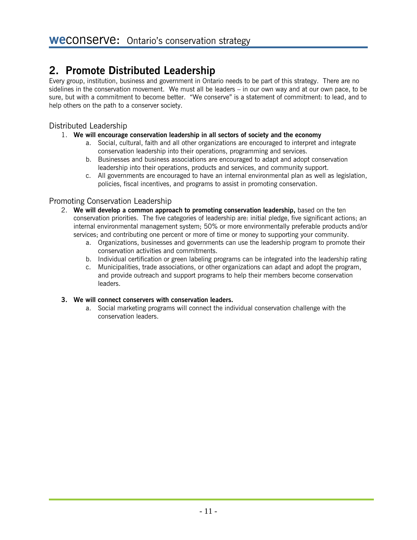### **2. Promote Distributed Leadership**

Every group, institution, business and government in Ontario needs to be part of this strategy. There are no sidelines in the conservation movement. We must all be leaders – in our own way and at our own pace, to be sure, but with a commitment to become better. "We conserve" is a statement of commitment: to lead, and to help others on the path to a conserver society.

#### Distributed Leadership

#### 1. **We will encourage conservation leadership in all sectors of society and the economy**

- a. Social, cultural, faith and all other organizations are encouraged to interpret and integrate conservation leadership into their operations, programming and services.
- b. Businesses and business associations are encouraged to adapt and adopt conservation leadership into their operations, products and services, and community support.
- c. All governments are encouraged to have an internal environmental plan as well as legislation, policies, fiscal incentives, and programs to assist in promoting conservation.

#### Promoting Conservation Leadership

- 2. **We will develop a common approach to promoting conservation leadership,** based on the ten conservation priorities. The five categories of leadership are: initial pledge, five significant actions; an internal environmental management system; 50% or more environmentally preferable products and/or services; and contributing one percent or more of time or money to supporting your community.
	- a. Organizations, businesses and governments can use the leadership program to promote their conservation activities and commitments.
	- b. Individual certification or green labeling programs can be integrated into the leadership rating
	- c. Municipalities, trade associations, or other organizations can adapt and adopt the program, and provide outreach and support programs to help their members become conservation leaders.

#### **3. We will connect conservers with conservation leaders.**

a. Social marketing programs will connect the individual conservation challenge with the conservation leaders.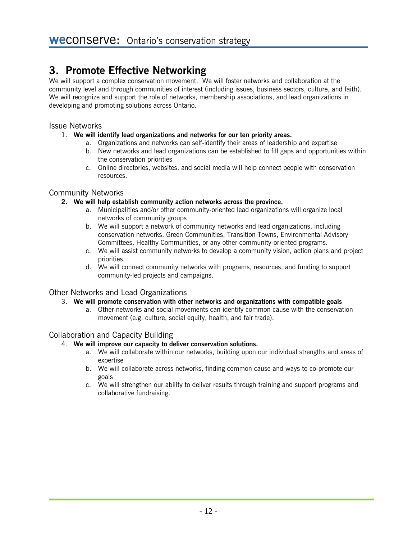### **3. Promote Effective Networking**

We will support a complex conservation movement. We will foster networks and collaboration at the community level and through communities of interest (including issues, business sectors, culture, and faith). We will recognize and support the role of networks, membership associations, and lead organizations in developing and promoting solutions across Ontario.

#### Issue Networks

#### 1. **We will identify lead organizations and networks for our ten priority areas.**

- a. Organizations and networks can self-identify their areas of leadership and expertise
- b. New networks and lead organizations can be established to fill gaps and opportunities within the conservation priorities
- c. Online directories, websites, and social media will help connect people with conservation resources.

#### Community Networks

#### **2. We will help establish community action networks across the province.**

- a. Municipalities and/or other community-oriented lead organizations will organize local networks of community groups
- b. We will support a network of community networks and lead organizations, including conservation networks, Green Communities, Transition Towns, Environmental Advisory Committees, Healthy Communities, or any other community-oriented programs.
- c. We will assist community networks to develop a community vision, action plans and project priorities.
- d. We will connect community networks with programs, resources, and funding to support community-led projects and campaigns.

#### Other Networks and Lead Organizations

- 3. **We will promote conservation with other networks and organizations with compatible goals**
	- a. Other networks and social movements can identify common cause with the conservation movement (e.g. culture, social equity, health, and fair trade).

#### Collaboration and Capacity Building

- 4. **We will improve our capacity to deliver conservation solutions.**
	- a. We will collaborate within our networks, building upon our individual strengths and areas of expertise
	- b. We will collaborate across networks, finding common cause and ways to co-promote our goals
	- c. We will strengthen our ability to deliver results through training and support programs and collaborative fundraising.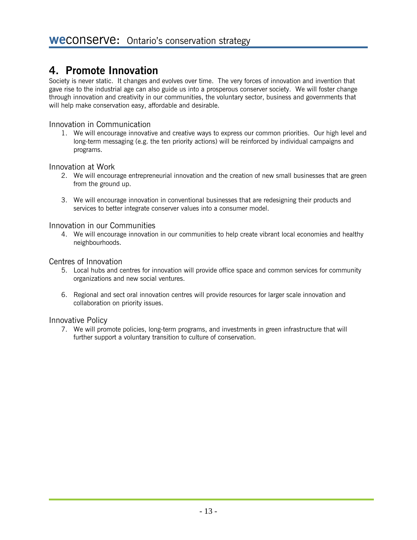### **4. Promote Innovation**

Society is never static. It changes and evolves over time. The very forces of innovation and invention that gave rise to the industrial age can also guide us into a prosperous conserver society. We will foster change through innovation and creativity in our communities, the voluntary sector, business and governments that will help make conservation easy, affordable and desirable.

#### Innovation in Communication

1. We will encourage innovative and creative ways to express our common priorities. Our high level and long-term messaging (e.g. the ten priority actions) will be reinforced by individual campaigns and programs.

#### Innovation at Work

- 2. We will encourage entrepreneurial innovation and the creation of new small businesses that are green from the ground up.
- 3. We will encourage innovation in conventional businesses that are redesigning their products and services to better integrate conserver values into a consumer model.

#### Innovation in our Communities

4. We will encourage innovation in our communities to help create vibrant local economies and healthy neighbourhoods.

#### Centres of Innovation

- 5. Local hubs and centres for innovation will provide office space and common services for community organizations and new social ventures.
- 6. Regional and sect oral innovation centres will provide resources for larger scale innovation and collaboration on priority issues.

#### Innovative Policy

7. We will promote policies, long-term programs, and investments in green infrastructure that will further support a voluntary transition to culture of conservation.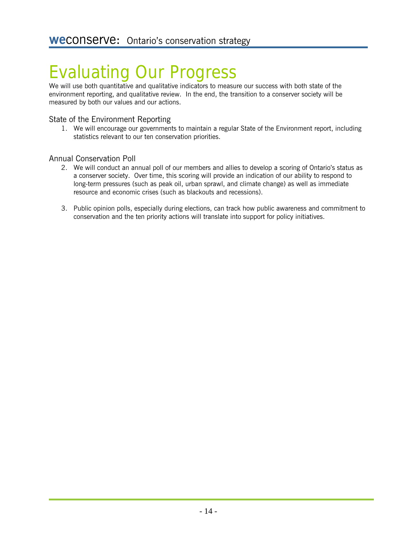# Evaluating Our Progress

We will use both quantitative and qualitative indicators to measure our success with both state of the environment reporting, and qualitative review. In the end, the transition to a conserver society will be measured by both our values and our actions.

#### State of the Environment Reporting

1. We will encourage our governments to maintain a regular State of the Environment report, including statistics relevant to our ten conservation priorities.

#### Annual Conservation Poll

- 2. We will conduct an annual poll of our members and allies to develop a scoring of Ontario's status as a conserver society. Over time, this scoring will provide an indication of our ability to respond to long-term pressures (such as peak oil, urban sprawl, and climate change) as well as immediate resource and economic crises (such as blackouts and recessions).
- 3. Public opinion polls, especially during elections, can track how public awareness and commitment to conservation and the ten priority actions will translate into support for policy initiatives.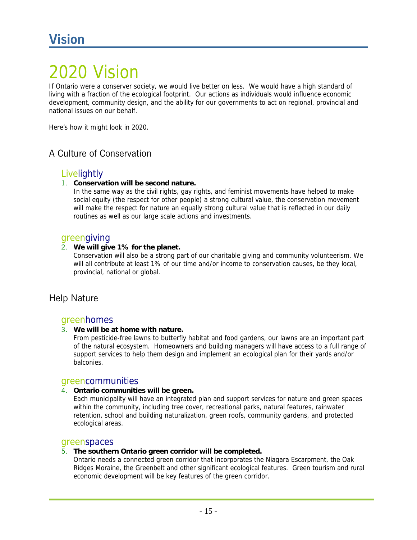## 020 Vision

If Ontario were a conserver society, we would live better on less. We would have a high standard of living with a fraction of the ecological footprint. Our actions as individuals would influence economic development, community design, and the ability for our governments to act on regional, provincial and national issues on our behalf.

Here's how it might look in 2020.

#### A Culture of Conservation

#### Livelightly

#### 1. **Conservation will be second nature.**

In the same way as the civil rights, gay rights, and feminist movements have helped to make social equity (the respect for other people) a strong cultural value, the conservation movement will make the respect for nature an equally strong cultural value that is reflected in our daily routines as well as our large scale actions and investments.

#### greengiving

#### 2. **We will give 1% for the planet.**

Conservation will also be a strong part of our charitable giving and community volunteerism. We will all contribute at least 1% of our time and/or income to conservation causes, be they local, provincial, national or global.

#### Help Nature

#### greenhomes

#### 3. **We will be at home with nature.**

From pesticide-free lawns to butterfly habitat and food gardens, our lawns are an important part of the natural ecosystem. Homeowners and building managers will have access to a full range of support services to help them design and implement an ecological plan for their yards and/or balconies.

#### greencommunities

#### 4. **Ontario communities will be green.**

Each municipality will have an integrated plan and support services for nature and green spaces within the community, including tree cover, recreational parks, natural features, rainwater retention, school and building naturalization, green roofs, community gardens, and protected ecological areas.

#### greenspaces

#### 5. **The southern Ontario green corridor will be completed.**

Ontario needs a connected green corridor that incorporates the Niagara Escarpment, the Oak Ridges Moraine, the Greenbelt and other significant ecological features. Green tourism and rural economic development will be key features of the green corridor.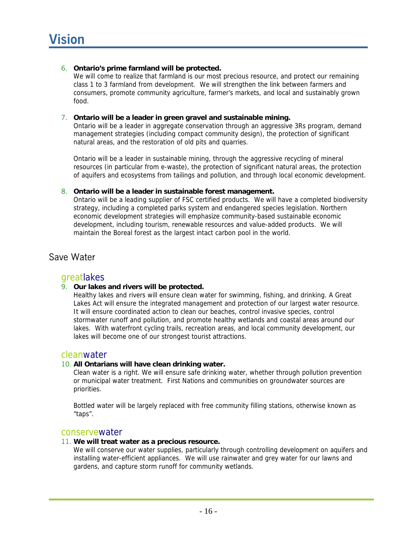#### 6. **Ontario's prime farmland will be protected.**

We will come to realize that farmland is our most precious resource, and protect our remaining class 1 to 3 farmland from development. We will strengthen the link between farmers and consumers, promote community agriculture, farmer's markets, and local and sustainably grown food.

#### 7. **Ontario will be a leader in green gravel and sustainable mining.**

Ontario will be a leader in aggregate conservation through an aggressive 3Rs program, demand management strategies (including compact community design), the protection of significant natural areas, and the restoration of old pits and quarries.

Ontario will be a leader in sustainable mining, through the aggressive recycling of mineral resources (in particular from e-waste), the protection of significant natural areas, the protection of aquifers and ecosystems from tailings and pollution, and through local economic development.

#### 8. **Ontario will be a leader in sustainable forest management.**

Ontario will be a leading supplier of FSC certified products. We will have a completed biodiversity strategy, including a completed parks system and endangered species legislation. Northern economic development strategies will emphasize community-based sustainable economic development, including tourism, renewable resources and value-added products. We will maintain the Boreal forest as the largest intact carbon pool in the world.

#### Save Water

#### greatlakes

#### 9. **Our lakes and rivers will be protected.**

Healthy lakes and rivers will ensure clean water for swimming, fishing, and drinking. A Great Lakes Act will ensure the integrated management and protection of our largest water resource. It will ensure coordinated action to clean our beaches, control invasive species, control stormwater runoff and pollution, and promote healthy wetlands and coastal areas around our lakes. With waterfront cycling trails, recreation areas, and local community development, our lakes will become one of our strongest tourist attractions.

#### cleanwater

#### 10. **All Ontarians will have clean drinking water.**

Clean water is a right. We will ensure safe drinking water, whether through pollution prevention or municipal water treatment. First Nations and communities on groundwater sources are priorities.

Bottled water will be largely replaced with free community filling stations, otherwise known as "taps".

#### conservewater

#### 11. **We will treat water as a precious resource.**

We will conserve our water supplies, particularly through controlling development on aquifers and installing water-efficient appliances. We will use rainwater and grey water for our lawns and gardens, and capture storm runoff for community wetlands.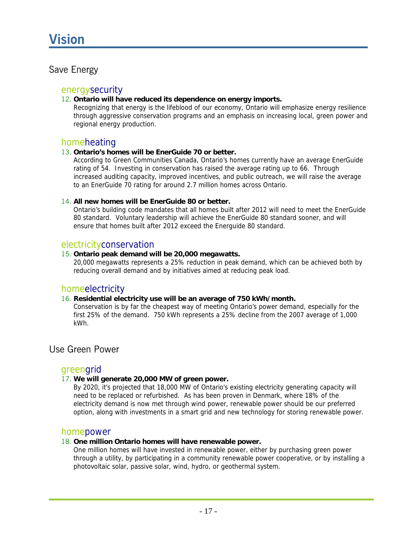#### Save Energy

#### energysecurity

#### 12. **Ontario will have reduced its dependence on energy imports.**

Recognizing that energy is the lifeblood of our economy, Ontario will emphasize energy resilience through aggressive conservation programs and an emphasis on increasing local, green power and regional energy production.

#### homeheating

#### 13. **Ontario's homes will be EnerGuide 70 or better.**

According to Green Communities Canada, Ontario's homes currently have an average EnerGuide rating of 54. Investing in conservation has raised the average rating up to 66. Through increased auditing capacity, improved incentives, and public outreach, we will raise the average to an EnerGuide 70 rating for around 2.7 million homes across Ontario.

#### 14. **All new homes will be EnerGuide 80 or better.**

Ontario's building code mandates that all homes built after 2012 will need to meet the EnerGuide 80 standard. Voluntary leadership will achieve the EnerGuide 80 standard sooner, and will ensure that homes built after 2012 exceed the Energuide 80 standard.

#### electricityconservation

#### 15. **Ontario peak demand will be 20,000 megawatts.**

20,000 megawatts represents a 25% reduction in peak demand, which can be achieved both by reducing overall demand and by initiatives aimed at reducing peak load.

#### homeelectricity

#### 16. **Residential electricity use will be an average of 750 kWh/month.**

Conservation is by far the cheapest way of meeting Ontario's power demand, especially for the first 25% of the demand. 750 kWh represents a 25% decline from the 2007 average of 1,000 kWh.

#### Use Green Power

#### greengrid

#### 17. **We will generate 20,000 MW of green power.**

By 2020, it's projected that 18,000 MW of Ontario's existing electricity generating capacity will need to be replaced or refurbished. As has been proven in Denmark, where 18% of the electricity demand is now met through wind power, renewable power should be our preferred option, along with investments in a smart grid and new technology for storing renewable power.

#### homepower

#### 18. **One million Ontario homes will have renewable power.**

One million homes will have invested in renewable power, either by purchasing green power through a utility, by participating in a community renewable power cooperative, or by installing a photovoltaic solar, passive solar, wind, hydro, or geothermal system.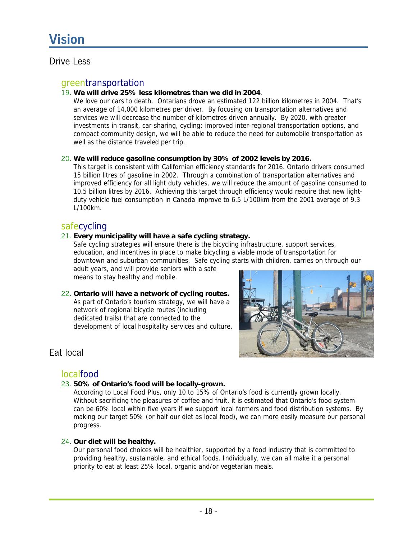#### Drive Less

#### greentransportation

#### 19. **We will drive 25% less kilometres than we did in 2004**.

We love our cars to death. Ontarians drove an estimated 122 billion kilometres in 2004. That's an average of 14,000 kilometres per driver. By focusing on transportation alternatives and services we will decrease the number of kilometres driven annually. By 2020, with greater investments in transit, car-sharing, cycling; improved inter-regional transportation options, and compact community design, we will be able to reduce the need for automobile transportation as well as the distance traveled per trip.

#### 20. **We will reduce gasoline consumption by 30% of 2002 levels by 2016.**

This target is consistent with Californian efficiency standards for 2016. Ontario drivers consumed 15 billion litres of gasoline in 2002. Through a combination of transportation alternatives and improved efficiency for all light duty vehicles, we will reduce the amount of gasoline consumed to 10.5 billion litres by 2016. Achieving this target through efficiency would require that new lightduty vehicle fuel consumption in Canada improve to 6.5 L/100km from the 2001 average of 9.3 L/100km.

#### safecycling

#### 21. **Every municipality will have a safe cycling strategy.**

Safe cycling strategies will ensure there is the bicycling infrastructure, support services, education, and incentives in place to make bicycling a viable mode of transportation for downtown and suburban communities. Safe cycling starts with children, carries on through our adult years, and will provide seniors with a safe

means to stay healthy and mobile.

#### 22. **Ontario will have a network of cycling routes.**  As part of Ontario's tourism strategy, we will have a network of regional bicycle routes (including dedicated trails) that are connected to the development of local hospitality services and culture.



#### Eat local

#### localfood

#### 23. **50% of Ontario's food will be locally-grown.**

According to Local Food Plus, only 10 to 15% of Ontario's food is currently grown locally. Without sacrificing the pleasures of coffee and fruit, it is estimated that Ontario's food system can be 60% local within five years if we support local farmers and food distribution systems. By making our target 50% (or half our diet as local food), we can more easily measure our personal progress.

#### 24. **Our diet will be healthy.**

Our personal food choices will be healthier, supported by a food industry that is committed to providing healthy, sustainable, and ethical foods. Individually, we can all make it a personal priority to eat at least 25% local, organic and/or vegetarian meals.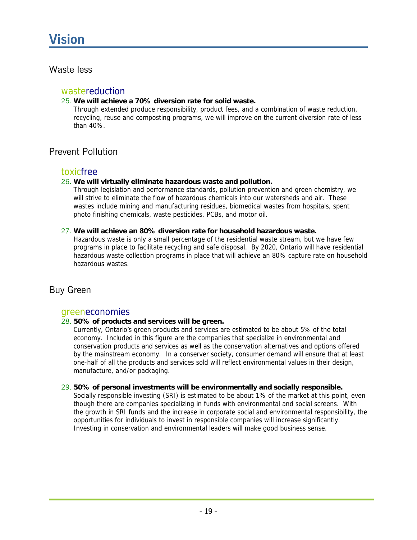#### Waste less

#### wastereduction

#### 25. **We will achieve a 70% diversion rate for solid waste.**

Through extended produce responsibility, product fees, and a combination of waste reduction, recycling, reuse and composting programs, we will improve on the current diversion rate of less than 40%.

#### Prevent Pollution

#### toxicfree

#### 26. **We will virtually eliminate hazardous waste and pollution.**

Through legislation and performance standards, pollution prevention and green chemistry, we will strive to eliminate the flow of hazardous chemicals into our watersheds and air. These wastes include mining and manufacturing residues, biomedical wastes from hospitals, spent photo finishing chemicals, waste pesticides, PCBs, and motor oil.

#### 27. **We will achieve an 80% diversion rate for household hazardous waste.**

Hazardous waste is only a small percentage of the residential waste stream, but we have few programs in place to facilitate recycling and safe disposal. By 2020, Ontario will have residential hazardous waste collection programs in place that will achieve an 80% capture rate on household hazardous wastes.

#### Buy Green

#### greeneconomies

#### 28. **50% of products and services will be green.**

Currently, Ontario's green products and services are estimated to be about 5% of the total economy. Included in this figure are the companies that specialize in environmental and conservation products and services as well as the conservation alternatives and options offered by the mainstream economy. In a conserver society, consumer demand will ensure that at least one-half of all the products and services sold will reflect environmental values in their design, manufacture, and/or packaging.

#### 29. **50% of personal investments will be environmentally and socially responsible.**

Socially responsible investing (SRI) is estimated to be about 1% of the market at this point, even though there are companies specializing in funds with environmental and social screens. With the growth in SRI funds and the increase in corporate social and environmental responsibility, the opportunities for individuals to invest in responsible companies will increase significantly. Investing in conservation and environmental leaders will make good business sense.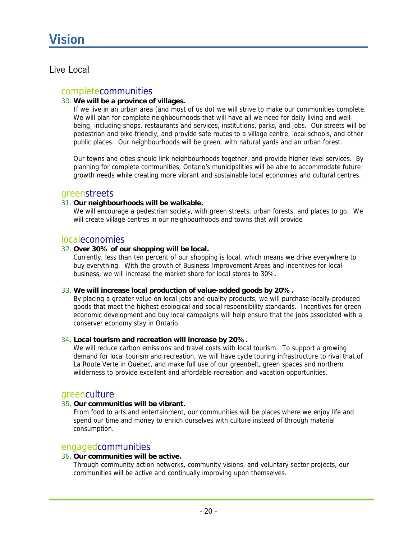### **Vision**

#### Live Local

#### completecommunities

#### 30. **We will be a province of villages.**

If we live in an urban area (and most of us do) we will strive to make our communities complete. We will plan for complete neighbourhoods that will have all we need for daily living and wellbeing, including shops, restaurants and services, institutions, parks, and jobs. Our streets will be pedestrian and bike friendly, and provide safe routes to a village centre, local schools, and other public places. Our neighbourhoods will be green, with natural yards and an urban forest.

Our towns and cities should link neighbourhoods together, and provide higher level services. By planning for complete communities, Ontario's municipalities will be able to accommodate future growth needs while creating more vibrant and sustainable local economies and cultural centres.

#### greenstreets

#### 31. **Our neighbourhoods will be walkable.**

We will encourage a pedestrian society, with green streets, urban forests, and places to go. We will create village centres in our neighbourhoods and towns that will provide

#### localeconomies

#### 32. **Over 30% of our shopping will be local.**

Currently, less than ten percent of our shopping is local, which means we drive everywhere to buy everything. With the growth of Business Improvement Areas and incentives for local business, we will increase the market share for local stores to 30%.

#### 33. **We will increase local production of value-added goods by 20%.**

By placing a greater value on local jobs and quality products, we will purchase locally-produced goods that meet the highest ecological and social responsibility standards. Incentives for green economic development and buy local campaigns will help ensure that the jobs associated with a conserver economy stay in Ontario.

#### 34. **Local tourism and recreation will increase by 20%.**

We will reduce carbon emissions and travel costs with local tourism. To support a growing demand for local tourism and recreation, we will have cycle touring infrastructure to rival that of La Route Verte in Quebec, and make full use of our greenbelt, green spaces and northern wilderness to provide excellent and affordable recreation and vacation opportunities.

#### greenculture

#### 35. **Our communities will be vibrant.**

From food to arts and entertainment, our communities will be places where we enjoy life and spend our time and money to enrich ourselves with culture instead of through material consumption.

#### engagedcommunities

#### 36. **Our communities will be active.**

Through community action networks, community visions, and voluntary sector projects, our communities will be active and continually improving upon themselves.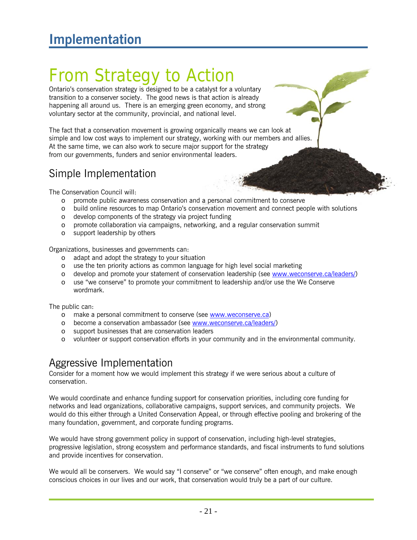# From Strategy to Action

Ontario's conservation strategy is designed to be a catalyst for a voluntary transition to a conserver society. The good news is that action is already happening all around us. There is an emerging green economy, and strong voluntary sector at the community, provincial, and national level.

The fact that a conservation movement is growing organically means we can look at simple and low cost ways to implement our strategy, working with our members and allies. At the same time, we can also work to secure major support for the strategy from our governments, funders and senior environmental leaders.

### Simple Implementation

The Conservation Council will:

- o promote public awareness conservation and a personal commitment to conserve
- o build online resources to map Ontario's conservation movement and connect people with solutions
- o develop components of the strategy via project funding
- o promote collaboration via campaigns, networking, and a regular conservation summit
- o support leadership by others

Organizations, businesses and governments can:

- o adapt and adopt the strategy to your situation
- o use the ten priority actions as common language for high level social marketing
- o develop and promote your statement of conservation leadership (see www.weconserve.ca/leaders/)
- o use "we conserve" to promote your commitment to leadership and/or use the We Conserve wordmark.

The public can:

- o make a personal commitment to conserve (see www.weconserve.ca)
- o become a conservation ambassador (see www.weconserve.ca/leaders/)
- o support businesses that are conservation leaders
- o volunteer or support conservation efforts in your community and in the environmental community.

### Aggressive Implementation

Consider for a moment how we would implement this strategy if we were serious about a culture of conservation.

We would coordinate and enhance funding support for conservation priorities, including core funding for networks and lead organizations, collaborative campaigns, support services, and community projects. We would do this either through a United Conservation Appeal, or through effective pooling and brokering of the many foundation, government, and corporate funding programs.

We would have strong government policy in support of conservation, including high-level strategies, progressive legislation, strong ecosystem and performance standards, and fiscal instruments to fund solutions and provide incentives for conservation.

We would all be conservers. We would say "I conserve" or "we conserve" often enough, and make enough conscious choices in our lives and our work, that conservation would truly be a part of our culture.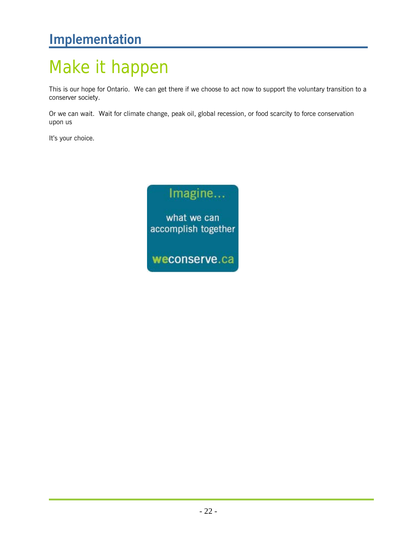### **Implementation**

# Make it happen

This is our hope for Ontario. We can get there if we choose to act now to support the voluntary transition to a conserver society.

Or we can wait. Wait for climate change, peak oil, global recession, or food scarcity to force conservation upon us

It's your choice.

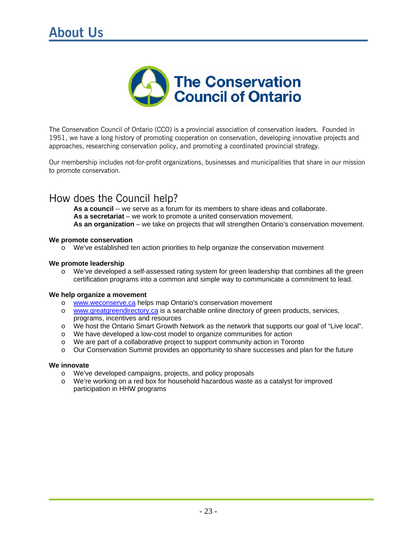

The Conservation Council of Ontario (CCO) is a provincial association of conservation leaders. Founded in 1951, we have a long history of promoting cooperation on conservation, developing innovative projects and approaches, researching conservation policy, and promoting a coordinated provincial strategy.

Our membership includes not-for-profit organizations, businesses and municipalities that share in our mission to promote conservation.

### How does the Council help?

As a council -- we serve as a forum for its members to share ideas and collaborate. **As a secretariat** – we work to promote a united conservation movement. **As an organization** – we take on projects that will strengthen Ontario's conservation movement.

#### **We promote conservation**

o We've established ten action priorities to help organize the conservation movement

#### **We promote leadership**

 $\circ$  We've developed a self-assessed rating system for green leadership that combines all the green certification programs into a common and simple way to communicate a commitment to lead.

#### **We help organize a movement**

- o www.weconserve.ca helps map Ontario's conservation movement
- o www.greatgreendirectory.ca is a searchable online directory of green products, services, programs, incentives and resources
- o We host the Ontario Smart Growth Network as the network that supports our goal of "Live local".
- o We have developed a low-cost model to organize communities for action
- o We are part of a collaborative project to support community action in Toronto
- o Our Conservation Summit provides an opportunity to share successes and plan for the future

#### **We innovate**

- o We've developed campaigns, projects, and policy proposals
- o We're working on a red box for household hazardous waste as a catalyst for improved participation in HHW programs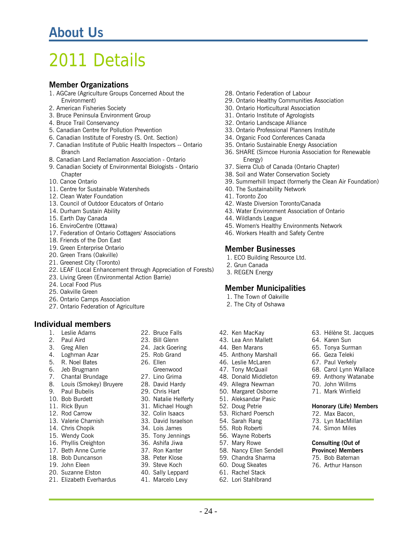### 2011 Details

#### **Member Organizations**

- 1. AGCare (Agriculture Groups Concerned About the Environment)
- 2. American Fisheries Society
- 3. Bruce Peninsula Environment Group
- 4. Bruce Trail Conservancy
- 5. Canadian Centre for Pollution Prevention
- 6. Canadian Institute of Forestry (S. Ont. Section)
- 7. Canadian Institute of Public Health Inspectors -- Ontario **Branch**
- 8. Canadian Land Reclamation Association Ontario
- 9. Canadian Society of Environmental Biologists Ontario **Chapter**
- 10. Canoe Ontario
- 11. Centre for Sustainable Watersheds
- 12. Clean Water Foundation
- 13. Council of Outdoor Educators of Ontario
- 14. Durham Sustain Ability
- 15. Earth Day Canada
- 16. EnviroCentre (Ottawa)
- 17. Federation of Ontario Cottagers' Associations
- 18. Friends of the Don East
- 19. Green Enterprise Ontario
- 20. Green Trans (Oakville)
- 21. Greenest City (Toronto)
- 22. LEAF (Local Enhancement through Appreciation of Forests)
- 23. Living Green (Environmental Action Barrie)
- 24. Local Food Plus
- 25. Oakville Green
- 26. Ontario Camps Association
- 27. Ontario Federation of Agriculture

#### **Individual members**

- 1. Leslie Adams
- 2. Paul Aird
- 3. Greg Allen
- 4. Loghman Azar
- 5. R. Noel Bates
- 6. Jeb Brugmann
- 7. Chantal Brundage
- 8. Louis (Smokey) Bruyere
- 9. Paul Bubelis
- 10. Bob Burdett
- 11. Rick Byun
- 12. Rod Carrow
- 13. Valerie Charnish
- 14. Chris Chopik
- 15. Wendy Cook
- 16. Phyllis Creighton
- 17. Beth Anne Currie
- 18. Bob Duncanson
- 19. John Eleen
- 20. Suzanne Elston
- 21. Elizabeth Everhardus
- 22. Bruce Falls
- 23. Bill Glenn
- 24. Jack Goering
- 25. Rob Grand
- 26. Ellen
- Greenwood
- 27. Lino Grima
- 28. David Hardy
- 29. Chris Hart
- 30. Natalie Helferty
- 31. Michael Hough
- 32. Colin Isaacs
- 33. David Israelson
- 34. Lois James
- 35. Tony Jennings
- 36. Ashifa Jiwa
- 37. Ron Kanter
- 38. Peter Klose
- 39. Steve Koch
- 40. Sally Leppard
- 

- 24 -

41. Marcelo Levy

- 28. Ontario Federation of Labour
- 29. Ontario Healthy Communities Association
- 30. Ontario Horticultural Association
- 31. Ontario Institute of Agrologists
- 32. Ontario Landscape Alliance
- 33. Ontario Professional Planners Institute
- 34. Organic Food Conferences Canada
- 35. Ontario Sustainable Energy Association
- 36. SHARE (Simcoe Huronia Association for Renewable Energy)
- 37. Sierra Club of Canada (Ontario Chapter)
- 38. Soil and Water Conservation Society
- 39. Summerhill Impact (formerly the Clean Air Foundation)

63. Hélène St. Jacques 64. Karen Sun 65. Tonya Surman 66. Geza Teleki 67. Paul Verkely 68. Carol Lynn Wallace 69. Anthony Watanabe 70. John Willms 71. Mark Winfield

**Honorary (Life) Members** 

72. Max Bacon, 73. Lyn MacMillan 74. Simon Miles

**Consulting (Out of Province) Members** 75. Bob Bateman 76. Arthur Hanson

- 40. The Sustainability Network
- 41. Toronto Zoo
- 42. Waste Diversion Toronto/Canada
- 43. Water Environment Association of Ontario
- 44. Wildlands League
- 45. Women's Healthy Environments Network
- 46. Workers Health and Safety Centre

#### **Member Businesses**

- 1. ECO Building Resource Ltd.
- 2. Grun Canada
- 3. REGEN Energy

42. Ken MacKay 43. Lea Ann Mallett 44. Ben Marans 45. Anthony Marshall 46. Leslie McLaren 47. Tony McQuail 48. Donald Middleton 49. Allegra Newman 50. Margaret Osborne 51. Aleksandar Pasic 52. Doug Petrie 53. Richard Poersch 54. Sarah Rang 55. Rob Roberti 56. Wayne Roberts 57. Mary Rowe 58. Nancy Ellen Sendell 59. Chandra Sharma 60. Doug Skeates 61. Rachel Stack 62. Lori Stahlbrand

#### **Member Municipalities**

- 1. The Town of Oakville
- 2. The City of Oshawa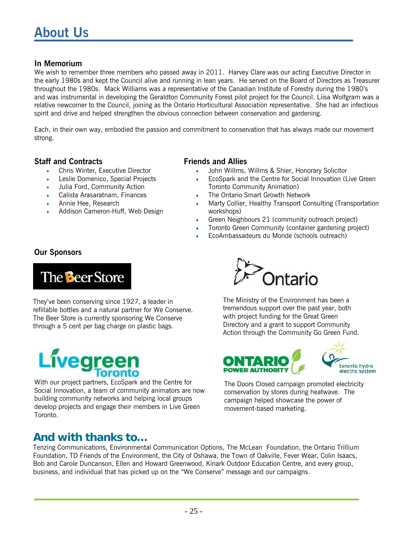#### **In Memorium**

We wish to remember three members who passed away in 2011. Harvey Clare was our acting Executive Director in the early 1980s and kept the Council alive and running in lean years. He served on the Board of Directors as Treasurer throughout the 1980s. Mack Williams was a representative of the Canadian Institute of Forestry during the 1980's and was instrumental in developing the Geraldton Community Forest pilot project for the Council. Liisa Wolfgram was a relative newcomer to the Council, joining as the Ontario Horticultural Association representative. She had an infectious spirit and drive and helped strengthen the obvious connection between conservation and gardening.

Each, in their own way, embodied the passion and commitment to conservation that has always made our movement strong.

#### **Staff and Contracts**

- Chris Winter, Executive Director
- Leslie Domenico, Special Projects
- Julia Ford, Community Action
- Calista Arasaratnam, Finances
- Annie Hee, Research
- Addison Cameron-Huff, Web Design

#### **Friends and Allies**

- John Willms, Willms & Shier, Honorary Solicitor
- EcoSpark and the Centre for Social Innovation (Live Green Toronto Community Animation)
- The Ontario Smart Growth Network
- Marty Collier, Healthy Transport Consulting (Transportation workshops)
- Green Neighbours 21 (community outreach project)
- Toronto Green Community (container gardening project)
- EcoAmbassadeurs du Monde (schools outreach)

#### **Our Sponsors**



They've been conserving since 1927, a leader in refillable bottles and a natural partner for We Conserve. The Beer Store is currently sponsoring We Conserve through a 5 cent per bag charge on plastic bags.



With our project partners, EcoSpark and the Centre for Social Innovation, a team of community animators are now building community networks and helping local groups develop projects and engage their members in Live Green Toronto.

# **Ontario**

The Ministry of the Environment has been a tremendous support over the past year, both with project funding for the Great Green Directory and a grant to support Community Action through the Community Go Green Fund.





The Doors Closed campaign promoted electricity conservation by stores during heatwave. The campaign helped showcase the power of movement-based marketing.

### **And with thanks to…**

Tenzing Communications, Environmental Communication Options, The McLean Foundation, the Ontario Trillium Foundation, TD Friends of the Environment, the City of Oshawa, the Town of Oakville, Fever Wear, Colin Isaacs, Bob and Carole Duncanson, Ellen and Howard Greenwood, Kinark Outdoor Education Centre, and every group, business, and individual that has picked up on the "We Conserve" message and our campaigns.